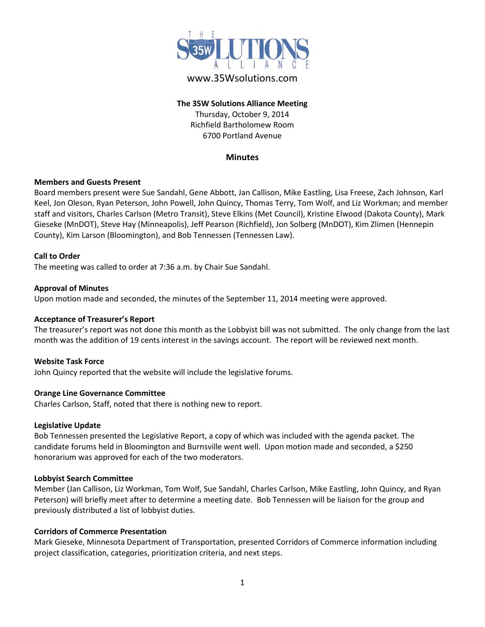

# www.35Wsolutions.com

# **The 35W Solutions Alliance Meeting** Thursday, October 9, 2014 Richfield Bartholomew Room 6700 Portland Avenue

### **Minutes**

### **Members and Guests Present**

Board members present were Sue Sandahl, Gene Abbott, Jan Callison, Mike Eastling, Lisa Freese, Zach Johnson, Karl Keel, Jon Oleson, Ryan Peterson, John Powell, John Quincy, Thomas Terry, Tom Wolf, and Liz Workman; and member staff and visitors, Charles Carlson (Metro Transit), Steve Elkins (Met Council), Kristine Elwood (Dakota County), Mark Gieseke (MnDOT), Steve Hay (Minneapolis), Jeff Pearson (Richfield), Jon Solberg (MnDOT), Kim Zlimen (Hennepin County), Kim Larson (Bloomington), and Bob Tennessen (Tennessen Law).

### **Call to Order**

The meeting was called to order at 7:36 a.m. by Chair Sue Sandahl.

#### **Approval of Minutes**

Upon motion made and seconded, the minutes of the September 11, 2014 meeting were approved.

### **Acceptance of Treasurer's Report**

The treasurer's report was not done this month as the Lobbyist bill was not submitted. The only change from the last month was the addition of 19 cents interest in the savings account. The report will be reviewed next month.

### **Website Task Force**

John Quincy reported that the website will include the legislative forums.

### **Orange Line Governance Committee**

Charles Carlson, Staff, noted that there is nothing new to report.

#### **Legislative Update**

Bob Tennessen presented the Legislative Report, a copy of which was included with the agenda packet. The candidate forums held in Bloomington and Burnsville went well. Upon motion made and seconded, a \$250 honorarium was approved for each of the two moderators.

### **Lobbyist Search Committee**

Member (Jan Callison, Liz Workman, Tom Wolf, Sue Sandahl, Charles Carlson, Mike Eastling, John Quincy, and Ryan Peterson) will briefly meet after to determine a meeting date. Bob Tennessen will be liaison for the group and previously distributed a list of lobbyist duties.

### **Corridors of Commerce Presentation**

Mark Gieseke, Minnesota Department of Transportation, presented Corridors of Commerce information including project classification, categories, prioritization criteria, and next steps.